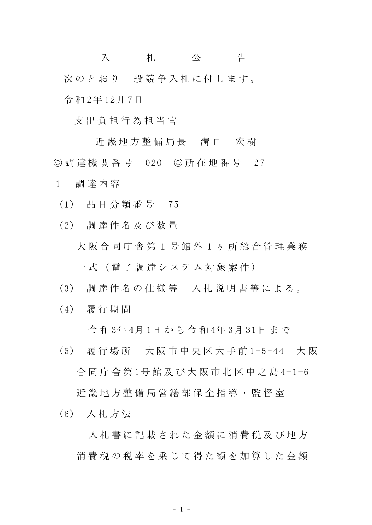入 札 公 告 次のとおり一般競争入札に付します。 令 和 2年 12月 7日

支 出 負 担 行 為 担 当 官

近 畿 地 方 整 備 局 長 溝 口 宏 樹 ◎ 調 達 機 関 番 号 020 ◎ 所 在 地 番 号 27 1 調 達 内 容

(1) 品 目 分 類 番 号 75

(2) 調 達 件 名 及 び 数 量 大 阪 合 同 庁 舎 第 1 号 館 外 1 ヶ 所 総 合 管 理 業 務 一 式 ( 電 子 調 達 シ ス テ ム 対 象 案 件 )

- (3) 調 達 件 名 の 仕 様 等 入 札 説 明 書 等 に よ る 。
- (4) 履 行 期 間

令 和 3年 4月 1日 か ら 令 和 4年 3月 31日 ま で

(5) 履 行 場 所 大 阪 市 中 央 区 大 手 前 1-5-44 大 阪 合 同 庁 舎 第 1号 館 及 び 大 阪 市 北 区 中 之 島 4-1-6 近 畿 地 方 整 備 局 営 繕 部 保 全 指 導 ・ 監 督 室

(6) 入 札 方 法

入札 書 に 記 載 さ れ た 金 額 に 消 費 税 及 び 地 方 消費税の税率を乗じて得た額を加算した金額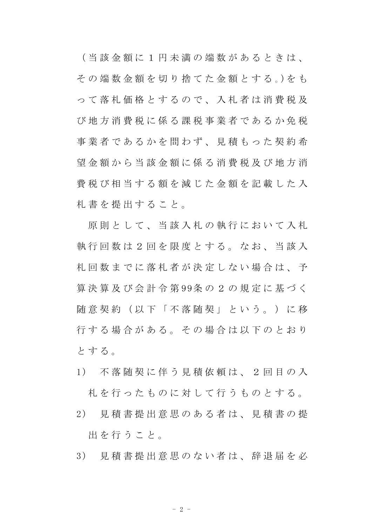( 当 該 金 額 に 1 円 未 満 の 端 数 が あ る と き は 、 そ の 端 数 金 額 を 切 り 捨 て た 金 額 と す る 。)を も っ て 落 札 価 格 と す る の で 、 入 札 者 は 消 費 税 及 び 地 方 消 費 税 に 係 る 課 税 事 業 者 で あ る か 免 税 事業者であるかを問わず、見積もった契約希 望 金 額 か ら 当 該 金 額 に 係 る 消 費 税 及 び 地 方 消 費 税 び 相 当 す る 額 を 減 じ た 金 額 を 記 載 し た 入 札 書 を 提 出 す る こ と 。

原則として、当該入札の執行において入札 執行回数は2回を限度とする。なお、当該入 札回数までに落札者が決定しない場合は、予 算 決 算 及 び 会 計 令 第 99条 の 2 の 規 定 に 基 づ く 随意契約 (以下「不落随契」という。)に移 行する場合がある。その場合は以下のとおり と す る 。

- 1) 不 落 随 契 に 伴 う 見 積 依 頼 は 、 2 回 目 の 入 札 を 行 っ た も の に 対 し て 行 う も の と す る 。
- 2) 見 積 書 提 出 意 思 の あ る 者 は 、 見 積 書 の 提 出を行うこと。
- 3) 見 積 書 提 出 意 思 の な い 者 は 、 辞 退 届 を 必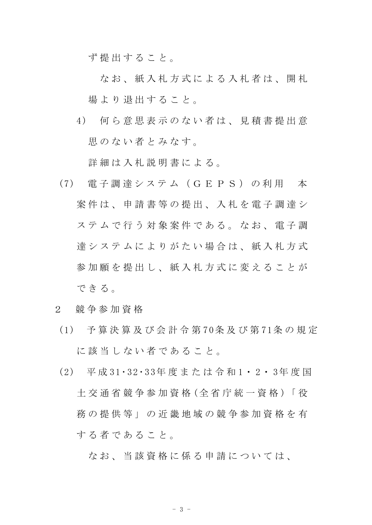ず 提 出 す る こ と 。

なお、紙入札方式による入札者は、開札 場より退出すること。

4) 何 ら 意 思 表 示 の な い 者 は 、 見 積 書 提 出 意 思のない者とみなす。

詳細は入札説明書による。

- (7) 電 子 調 達 シ ス テ ム ( G E P S ) の 利 用 本 案 件 は 、 申 請 書 等 の 提 出 、 入 札 を 電 子 調 達 シ ステムで行う対象案件である。なお、電子調 達システムによりがたい場合は、紙入札方式 参加願を提出し、紙入札方式に変えることが できる。
- 2 競 争 参 加 資 格
- (1) 予 算 決 算 及 び 会 計 令 第 70条 及 び 第 71条 の 規 定 に該当しない者であること。
- (2) 平 成 31・32・33年 度 ま た は 令 和 1・ 2・ 3年 度 国 土 交 通 省 競 争 参 加 資 格 (全 省 庁 統 一 資 格 )「 役 務 の 提 供 等 」 の 近 畿 地 域 の 競 争 参 加 資 格 を 有 す る 者 で あ る こ と 。

なお、当該資格に係る申請については、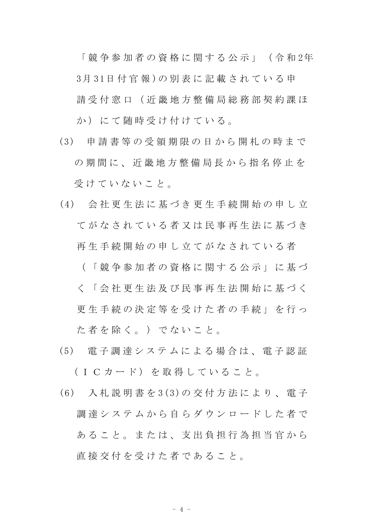「 競 争 参 加 者 の 資 格 に 関 す る 公 示 」 ( 令 和 2年 3月 31日 付 官 報 )の 別 表 に 記 載 さ れ て い る 申 請 受 付 窓 口 ( 近 畿 地 方 整 備 局 総 務 部 契 約 課 ほ か)にて随時受け付けている。

- (3) 申 請 書 等 の 受 領 期 限 の 日 か ら 開 札 の 時 ま で の期間に、近畿地方整備局長から指名停止を 受けていないこと。
- (4) 会 社 更 生 法 に 基 づ き 更 生 手 続 開 始 の 申 し 立 てがなされている者又は民事再生法に基づき 再生 手 続 開 始 の 申 し 立 て が な さ れ て い る 者

( 「 競 争 参 加 者 の 資 格 に 関 す る 公 示 」 に 基 づ く 「 会 社 更 生 法 及 び 民 事 再 生 法 開 始 に 基 づ く 更 生 手 続 の 決 定 等 を 受 け た 者 の 手 続 」 を 行 っ

た 者 を 除 く 。 ) で な い こ と 。

- (5) 電 子 調 達 シ ス テ ム に よ る 場 合 は 、 電 子 認 証 (ICカード) を取得していること。
- (6) 入 札 説 明 書 を 3(3)の 交 付 方 法 に よ り 、 電 子 調 達 シ ス テ ム か ら 自 ら ダ ウ ン ロ ー ド し た 者 で あること。または、支出負担行為担当官から 直 接 交 付 を 受 け た 者 で あ る こ と 。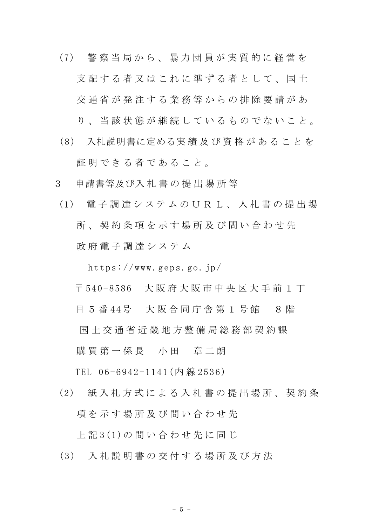- (7) 警 察 当 局 か ら 、 暴 力 団 員 が 実 質 的 に 経 営 を 支 配 す る 者 又 は こ れ に 準 ず る 者 と し て 、 国 十 交 通 省 が 発 注 す る 業 務 等 か ら の 排 除 要 請 が あ
	- り、当 該 状 熊 が 継 続 し て い る も の で な い こ と 。
- (8) 入札説明書に定める実 績 及 び 資 格 が あ る こ と を 証明できる者であること。
- 3 申請書等及び入 札 書 の 提 出 場 所 等
- (1) 電 子 調 達 シ ス テ ム の U R L 、 入 札 書 の 提 出 場 所、契約条項を示す場所及び問い合わせ先 政 府 電 子 調 達 シ ス テ ム

https://www.geps.go.jp/

〒 540-8586 大 阪 府 大 阪 市 中 央 区 大 手 前 1 丁

目 5 番 44号 大阪合同庁舎第 1 号館 8 階

国 土 交 通 省 近 畿 地 方 整 備 局 総 務 部 契 約 課

購買第一係長 小田 章二朗

TEL 06-6942-1141(内 線 2536)

(2) 紙 入 札 方 式 に よ る 入 札 書 の 提 出 場 所 、 契 約 条 項を示す場所及び問い合わせ先

上 記 3(1)の 問 い 合 わ せ 先 に 同 じ

(3) 入 札 説 明 書 の 交 付 す る 場 所 及 び 方 法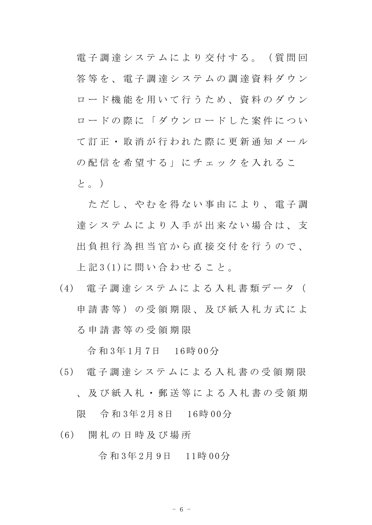電 子 調 達 シ ス テ ム に よ り 交 付 す る 。 ( 質 問 回 答 等 を 、 電 子 調 達 シ ス テ ム の 調 達 資 料 ダ ウ ン ロード機能を用いて行うため、資料のダウン ロードの際に「ダウンロードした案件につい て訂正・取消が行われた際に更新通知メール の配信を希望する」にチェックを入れるこ と。)

ただし、やむを得ない事由により、電子調 達 シ ス テ ム に よ り 入 手 が 出 来 な い 場 合 は 、 支 出 負 担 行 為 担 当 官 か ら 直 接 交 付 を 行 う の で 、 上 記 3(1)に 問 い 合 わ せ る こ と 。

(4) 電 子 調 達 シ ス テ ム に よ る 入 札 書 類 デ ー タ ( 申請書等)の受領期限、及び紙入札方式によ る 申 請 書 等 の 受 領 期 限

令 和 3年 1月 7日 16時 00分

(5) 電 子 調 達 シ ス テ ム に よ る 入 札 書 の 受 領 期 限 、 及 び 紙 入 札 ・ 郵 送 等 に よ る 入 札 書 の 受 領 期

限 令 和 3年 2月 8日 16時 00分

(6) 開 札 の 日 時 及 び 場 所

令 和 3年 2月 9日 11時 00分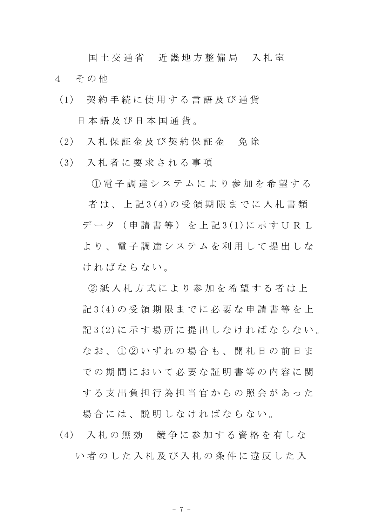国土 交 通 省 近 畿 地 方 整 備 局 入 札 室 4 その他

- (1) 契 約 手 続 に 使 用 す る 言 語 及 び 通 貨 日 本 語 及 び 日 本 国 通 貨 。
- (2) 入 札 保 証 金 及 び 契 約 保 証 金 免 除
- (3) 入 札 者 に 要 求 さ れ る 事 項

① 電 子 調 達 シ ス テ ム に よ り 参 加 を 希 望 す る 者 は 、 上 記 3(4)の 受 領 期 限 ま で に 入 札 書 類 デ ー タ ( 申 請 書 等 ) を 上 記 3(1)に 示 す U R L より、 雷 子 調 達 シ ス テ ム を 利 用 し て 提 出 し な ければならない。

② 紙 入 札 方 式 に よ り 参 加 を 希 望 す る 者 は 上 記 3(4)の 受 領 期 限 ま で に 必 要 な 申 請 書 等 を 上 記 3(2)に示す場所に提出しなければならない。 なお、1020いずれの場合も、開札日の前日ま での期間において必要な証明書等の内容に関 する支出負担行為担当官からの照会があった 場合には、説明しなければならない。

(4) 入 札 の 無 効 競 争 に 参 加 す る 資 格 を 有 し な い者のした入札及び入札の条件に違反した入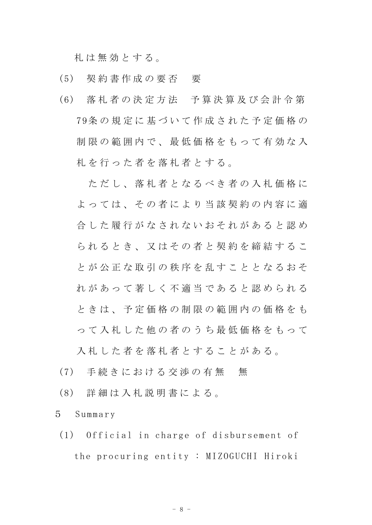札 は 無 効 と す る 。

- (5) 契 約 書 作 成 の 要 否 要
- (6) 落 札 者 の 決 定 方 法 予 算 決 算 及 び 会 計 令 第 79条 の 規 定 に 基 づ い て 作 成 さ れ た 予 定 価 格 の 制限の範囲内で、最低価格をもって有効な入 札 を 行 っ た 者 を 落 札 者 と す る 。

ただし、落札者となるべき者の入札価格に よっては、その者により当該契約の内容に適 合 し た 履 行 が な さ れ な い お そ れ が あ る と 認 め ら れ る と き 、 又 は そ の 者 と 契 約 を 締 結 す る こ と が 公 正 な 取 引 の 秩 序 を 乱 す こ と と な る お そ れ が あ っ て 著 し く 不 適 当 で あ る と 認 め ら れ る と き は 、 予 定 価 格 の 制 限 の 範 囲 内 の 価 格 を も っ て 入 札 し た 他 の 者 の う ち 最 低 価 格 を も っ て

入札した者を落札者とすることがある。

- (7) 手続きにおける交渉の有無 無
- (8) 詳 細 は 入 札 説 明 書 に よ る 。
- 5 Summary
- (1) Official in charge of disbursement of the procuring entity : MIZOGUCHI Hiroki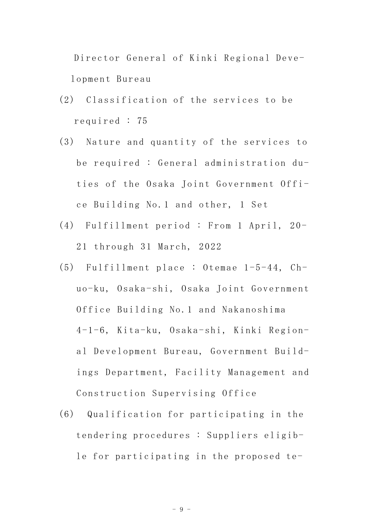Director General of Kinki Regional Development Bureau

- (2) Classification of the services to be required : 75
- (3) Nature and quantity of the services to be required : General administration duties of the Osaka Joint Government Office Building No.1 and other, 1 Set
- (4) Fulfillment period : From 1 April, 20- 21 through 31 March, 2022
- (5) Fulfillment place : Otemae 1-5-44, Chuo-ku, Osaka-shi, Osaka Joint Government Office Building No.1 and Nakanoshima 4-1-6, Kita-ku, Osaka-shi, Kinki Regional Development Bureau, Government Buildings Department, Facility Management and Construction Supervising Office
- (6) Qualification for participating in the tendering procedures : Suppliers eligible for participating in the proposed te-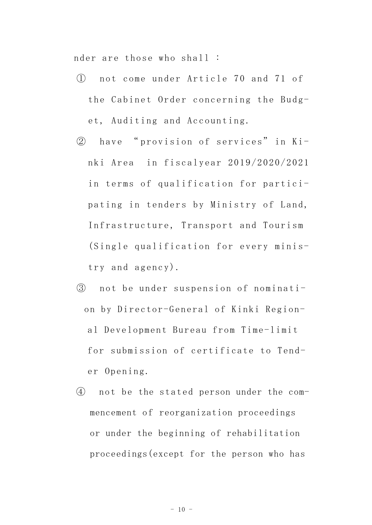nder are those who shall :

- ① not come under Article 70 and 71 of the Cabinet Order concerning the Budget, Auditing and Accounting.
- ② have " provision of services" in Kinki Area in fiscalyear 2019/2020/2021 in terms of qualification for participating in tenders by Ministry of Land, Infrastructure, Transport and Tourism (Single qualification for every ministry and agency).
- ③ not be under suspension of nomination by Director-General of Kinki Regional Development Bureau from Time-limit for submission of certificate to Tender Opening.
- ④ not be the stated person under the commencement of reorganization proceedings or under the beginning of rehabilitation proceedings(except for the person who has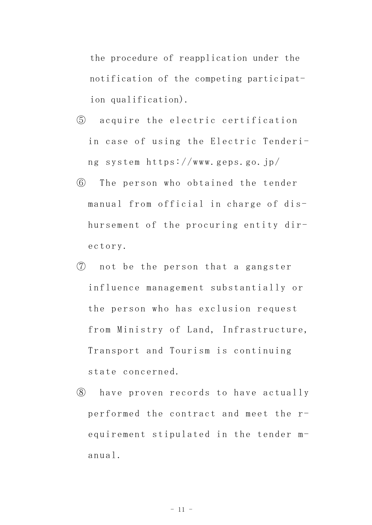the procedure of reapplication under the notification of the competing participation qualification).

- ⑤ acquire the electric certification in case of using the Electric Tendering system https://www.geps.go.jp/
- ⑥ The person who obtained the tender manual from official in charge of dishursement of the procuring entity directory.
- ⑦ not be the person that a gangster influence management substantially or the person who has exclusion request from Ministry of Land, Infrastructure, Transport and Tourism is continuing state concerned.
- ⑧ have proven records to have actually performed the contract and meet the requirement stipulated in the tender manual.